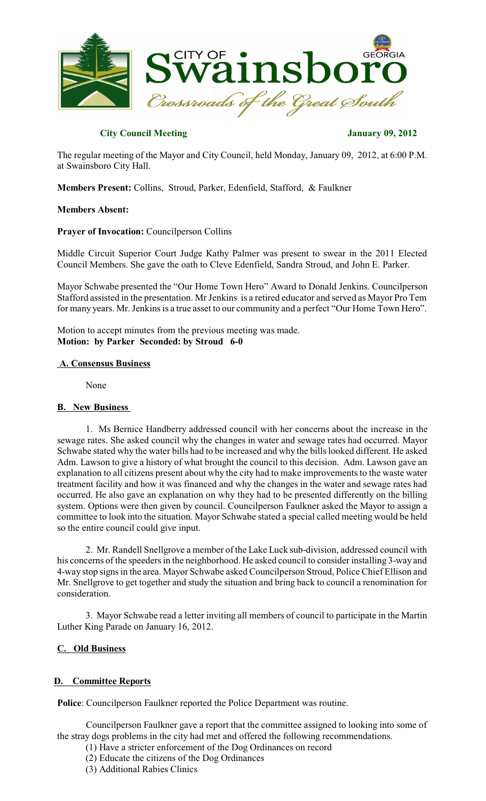

# **City Council Meeting January 09, 2012**

The regular meeting of the Mayor and City Council, held Monday, January 09, 2012, at 6:00 P.M. at Swainsboro City Hall.

**Members Present:** Collins, Stroud, Parker, Edenfield, Stafford, & Faulkner

## **Members Absent:**

## **Prayer of Invocation:** Councilperson Collins

Middle Circuit Superior Court Judge Kathy Palmer was present to swear in the 2011 Elected Council Members. She gave the oath to Cleve Edenfield, Sandra Stroud, and John E. Parker.

Mayor Schwabe presented the "Our Home Town Hero" Award to Donald Jenkins. Councilperson Stafford assisted in the presentation. Mr Jenkins is a retired educator and served as Mayor Pro Tem for many years. Mr. Jenkins is a true asset to our community and a perfect "Our Home Town Hero".

Motion to accept minutes from the previous meeting was made. **Motion: by Parker Seconded: by Stroud 6-0**

## **A. Consensus Business**

None

## **B. New Business**

1. Ms Bernice Handberry addressed council with her concerns about the increase in the sewage rates. She asked council why the changes in water and sewage rates had occurred. Mayor Schwabe stated why the water bills had to be increased and why the bills looked different. He asked Adm. Lawson to give a history of what brought the council to this decision. Adm. Lawson gave an explanation to all citizens present about why the city had to make improvements to the waste water treatment facility and how it was financed and why the changes in the water and sewage rates had occurred. He also gave an explanation on why they had to be presented differently on the billing system. Options were then given by council. Councilperson Faulkner asked the Mayor to assign a committee to look into the situation. Mayor Schwabe stated a special called meeting would be held so the entire council could give input.

2. Mr. Randell Snellgrove a member of the Lake Luck sub-division, addressed council with his concerns of the speeders in the neighborhood. He asked council to consider installing 3-way and 4-way stop signs in the area. Mayor Schwabe asked Councilperson Stroud, Police Chief Ellison and Mr. Snellgrove to get together and study the situation and bring back to council a renomination for consideration.

3. Mayor Schwabe read a letter inviting all members of council to participate in the Martin Luther King Parade on January 16, 2012.

## **C. Old Business**

## **D. Committee Reports**

**Police**: Councilperson Faulkner reported the Police Department was routine.

 Councilperson Faulkner gave a report that the committee assigned to looking into some of the stray dogs problems in the city had met and offered the following recommendations.

- (1) Have a stricter enforcement of the Dog Ordinances on record
	- (2) Educate the citizens of the Dog Ordinances
	- (3) Additional Rabies Clinics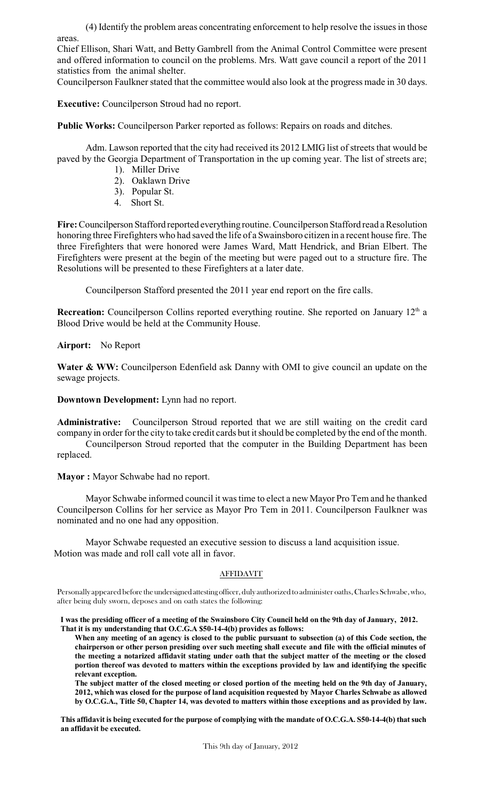(4) Identify the problem areas concentrating enforcement to help resolve the issuesin those areas.

Chief Ellison, Shari Watt, and Betty Gambrell from the Animal Control Committee were present and offered information to council on the problems. Mrs. Watt gave council a report of the 2011 statistics from the animal shelter.

Councilperson Faulkner stated that the committee would also look at the progress made in 30 days.

**Executive:** Councilperson Stroud had no report.

**Public Works:** Councilperson Parker reported as follows: Repairs on roads and ditches.

Adm. Lawson reported that the city had received its 2012 LMIG list of streets that would be paved by the Georgia Department of Transportation in the up coming year. The list of streets are;

- 1). Miller Drive
- 2). Oaklawn Drive
- 3). Popular St.
- 4. Short St.

Fire: Councilperson Stafford reported everything routine. Councilperson Stafford read a Resolution honoring three Firefighters who had saved the life of a Swainsboro citizen in a recent house fire. The three Firefighters that were honored were James Ward, Matt Hendrick, and Brian Elbert. The Firefighters were present at the begin of the meeting but were paged out to a structure fire. The Resolutions will be presented to these Firefighters at a later date.

Councilperson Stafford presented the 2011 year end report on the fire calls.

**Recreation:** Councilperson Collins reported everything routine. She reported on January 12<sup>th</sup> a Blood Drive would be held at the Community House.

## **Airport:** No Report

**Water & WW:** Councilperson Edenfield ask Danny with OMI to give council an update on the sewage projects.

**Downtown Development:** Lynn had no report.

**Administrative:** Councilperson Stroud reported that we are still waiting on the credit card company in order for the city to take credit cards but it should be completed by the end of the month.

Councilperson Stroud reported that the computer in the Building Department has been replaced.

**Mayor :** Mayor Schwabe had no report.

Mayor Schwabe informed council it wastime to elect a new Mayor Pro Tem and he thanked Councilperson Collins for her service as Mayor Pro Tem in 2011. Councilperson Faulkner was nominated and no one had any opposition.

Mayor Schwabe requested an executive session to discuss a land acquisition issue. Motion was made and roll call vote all in favor.

#### AFFIDAVIT

Personally appeared before the undersigned attesting officer, duly authorized to administer oaths, Charles Schwabe, who, after being duly sworn, deposes and on oath states the following:

**I was the presiding officer of a meeting of the Swainsboro City Council held on the 9th day of January, 2012. That it is my understanding that O.C.G.A \$50-14-4(b) provides as follows:**

**When any meeting of an agency is closed to the public pursuant to subsection (a) of this Code section, the chairperson or other person presiding over such meeting shall execute and file with the official minutes of the meeting a notarized affidavit stating under oath that the subject matter of the meeting or the closed portion thereof was devoted to matters within the exceptions provided by law and identifying the specific relevant exception.**

**The subject matter of the closed meeting or closed portion of the meeting held on the 9th day of January, 2012, which was closed for the purpose of land acquisition requested by Mayor Charles Schwabe as allowed by O.C.G.A., Title 50, Chapter 14, was devoted to matters within those exceptions and as provided by law.**

**This affidavit is being executed for the purpose of complying with the mandate of O.C.G.A. S50-14-4(b) thatsuch an affidavit be executed.**